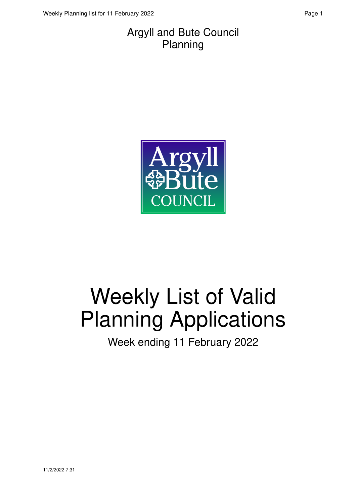#### Argyll and Bute Council Planning



# Weekly List of Valid Planning Applications

Week ending 11 February 2022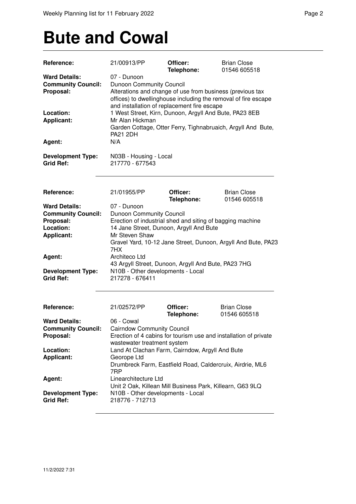### **Bute and Cowal**

| Reference:                                                                                                                             | 21/00913/PP                                                                                                                                                                                                                                                                                                                                                                                         | Officer:<br>Telephone:                                    | <b>Brian Close</b><br>01546 605518 |  |
|----------------------------------------------------------------------------------------------------------------------------------------|-----------------------------------------------------------------------------------------------------------------------------------------------------------------------------------------------------------------------------------------------------------------------------------------------------------------------------------------------------------------------------------------------------|-----------------------------------------------------------|------------------------------------|--|
| <b>Ward Details:</b><br><b>Community Council:</b><br>Proposal:<br>Location:<br><b>Applicant:</b><br>Agent:                             | 07 - Dunoon<br><b>Dunoon Community Council</b><br>Alterations and change of use from business (previous tax<br>offices) to dwellinghouse including the removal of fire escape<br>and installation of replacement fire escape<br>1 West Street, Kirn, Dunoon, Argyll And Bute, PA23 8EB<br>Mr Alan Hickman<br>Garden Cottage, Otter Ferry, Tighnabruaich, Argyll And Bute,<br><b>PA21 2DH</b><br>N/A |                                                           |                                    |  |
| <b>Development Type:</b><br><b>Grid Ref:</b>                                                                                           | N03B - Housing - Local<br>217770 - 677543                                                                                                                                                                                                                                                                                                                                                           |                                                           |                                    |  |
| Reference:                                                                                                                             | 21/01955/PP                                                                                                                                                                                                                                                                                                                                                                                         | Officer:                                                  | <b>Brian Close</b>                 |  |
| <b>Ward Details:</b><br><b>Community Council:</b><br>Proposal:<br>Location:<br><b>Applicant:</b><br>Agent:<br><b>Development Type:</b> | Telephone:<br>01546 605518<br>07 - Dunoon<br>Dunoon Community Council<br>Erection of industrial shed and siting of bagging machine<br>14 Jane Street, Dunoon, Argyll And Bute<br>Mr Steven Shaw<br>Gravel Yard, 10-12 Jane Street, Dunoon, Argyll And Bute, PA23<br>7HX<br>Architeco Ltd<br>43 Argyll Street, Dunoon, Argyll And Bute, PA23 7HG<br>N10B - Other developments - Local                |                                                           |                                    |  |
| <b>Grid Ref:</b>                                                                                                                       | 217278 - 676411                                                                                                                                                                                                                                                                                                                                                                                     |                                                           |                                    |  |
| Reference:                                                                                                                             | 21/02572/PP                                                                                                                                                                                                                                                                                                                                                                                         | Officer:<br>Telephone:                                    | <b>Brian Close</b><br>01546 605518 |  |
| <b>Ward Details:</b><br><b>Community Council:</b><br>Proposal:                                                                         | 06 - Cowal<br><b>Cairndow Community Council</b><br>Erection of 4 cabins for tourism use and installation of private<br>wastewater treatment system                                                                                                                                                                                                                                                  |                                                           |                                    |  |
| Location:<br><b>Applicant:</b>                                                                                                         | Land At Clachan Farm, Cairndow, Argyll And Bute<br>Georope Ltd<br>7RP                                                                                                                                                                                                                                                                                                                               | Drumbreck Farm, Eastfield Road, Caldercruix, Airdrie, ML6 |                                    |  |
| Agent:                                                                                                                                 | Linearchitecture Ltd<br>Unit 2 Oak, Killean Mill Business Park, Killearn, G63 9LQ                                                                                                                                                                                                                                                                                                                   |                                                           |                                    |  |
| <b>Development Type:</b><br><b>Grid Ref:</b>                                                                                           | N10B - Other developments - Local<br>218776 - 712713                                                                                                                                                                                                                                                                                                                                                |                                                           |                                    |  |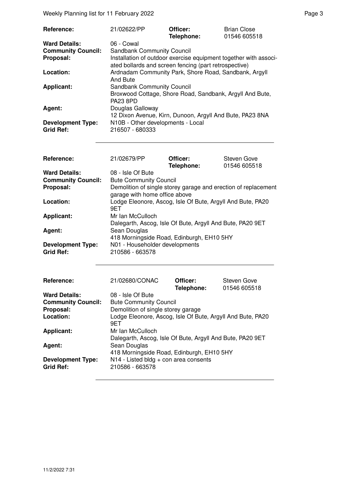Weekly Planning list for 11 February 2022 **Page 3** Page 3

| Reference:                                   | 21/02622/PP                                                                                                               | Officer:<br>Telephone: | <b>Brian Close</b><br>01546 605518 |
|----------------------------------------------|---------------------------------------------------------------------------------------------------------------------------|------------------------|------------------------------------|
| <b>Ward Details:</b>                         | 06 - Cowal                                                                                                                |                        |                                    |
| <b>Community Council:</b>                    | <b>Sandbank Community Council</b>                                                                                         |                        |                                    |
| Proposal:                                    | Installation of outdoor exercise equipment together with associ-<br>ated bollards and screen fencing (part retrospective) |                        |                                    |
| Location:                                    | Ardnadam Community Park, Shore Road, Sandbank, Argyll<br>And Bute                                                         |                        |                                    |
| <b>Applicant:</b>                            | <b>Sandbank Community Council</b><br>Broxwood Cottage, Shore Road, Sandbank, Argyll And Bute,<br><b>PA23 8PD</b>          |                        |                                    |
| Agent:                                       | Douglas Galloway<br>12 Dixon Avenue, Kirn, Dunoon, Argyll And Bute, PA23 8NA                                              |                        |                                    |
| <b>Development Type:</b><br><b>Grid Ref:</b> | N10B - Other developments - Local<br>216507 - 680333                                                                      |                        |                                    |

| Reference:                | 21/02679/PP                                                    | Officer:   | Steven Gove  |
|---------------------------|----------------------------------------------------------------|------------|--------------|
|                           |                                                                | Telephone: | 01546 605518 |
| <b>Ward Details:</b>      | 08 - Isle Of Bute                                              |            |              |
| <b>Community Council:</b> | <b>Bute Community Council</b>                                  |            |              |
| Proposal:                 | Demolition of single storey garage and erection of replacement |            |              |
|                           | garage with home office above                                  |            |              |
| Location:                 | Lodge Eleonore, Ascog, Isle Of Bute, Argyll And Bute, PA20     |            |              |
|                           | 9ET                                                            |            |              |
| <b>Applicant:</b>         | Mr Ian McCulloch                                               |            |              |
|                           | Dalegarth, Ascog, Isle Of Bute, Argyll And Bute, PA20 9ET      |            |              |
| Agent:                    | Sean Douglas                                                   |            |              |
|                           | 418 Morningside Road, Edinburgh, EH10 5HY                      |            |              |
| <b>Development Type:</b>  | N01 - Householder developments                                 |            |              |
| <b>Grid Ref:</b>          | 210586 - 663578                                                |            |              |

| Reference:                                   | 21/02680/CONAC                                                                                                         | Officer:<br>Telephone: | Steven Gove<br>01546 605518 |
|----------------------------------------------|------------------------------------------------------------------------------------------------------------------------|------------------------|-----------------------------|
| <b>Ward Details:</b>                         | 08 - Isle Of Bute                                                                                                      |                        |                             |
| <b>Community Council:</b>                    | <b>Bute Community Council</b>                                                                                          |                        |                             |
| Proposal:                                    | Demolition of single storey garage                                                                                     |                        |                             |
| Location:                                    | Lodge Eleonore, Ascog, Isle Of Bute, Argyll And Bute, PA20<br>9ET                                                      |                        |                             |
| <b>Applicant:</b>                            | Mr Ian McCulloch                                                                                                       |                        |                             |
| Agent:                                       | Dalegarth, Ascog, Isle Of Bute, Argyll And Bute, PA20 9ET<br>Sean Douglas<br>418 Morningside Road, Edinburgh, EH10 5HY |                        |                             |
| <b>Development Type:</b><br><b>Grid Ref:</b> | N14 - Listed bldg + con area consents<br>210586 - 663578                                                               |                        |                             |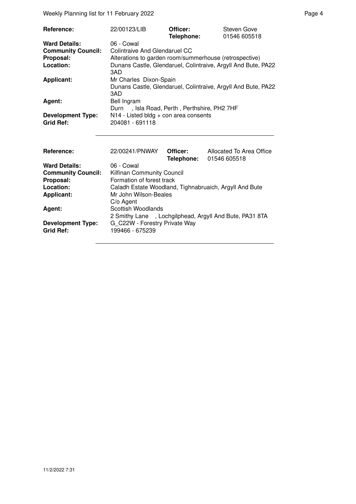Weekly Planning list for 11 February 2022 **Page 4** Page 4

| Reference:<br><b>Ward Details:</b><br><b>Community Council:</b><br>Proposal:<br>Location: | 22/00123/LIB<br>06 - Cowal<br>Colintraive And Glendaruel CC<br>Alterations to garden room/summerhouse (retrospective) | Officer:<br>Telephone: | Steven Gove<br>01546 605518<br>Dunans Castle, Glendaruel, Colintraive, Argyll And Bute, PA22 |  |
|-------------------------------------------------------------------------------------------|-----------------------------------------------------------------------------------------------------------------------|------------------------|----------------------------------------------------------------------------------------------|--|
| <b>Applicant:</b>                                                                         | 3AD<br>Mr Charles Dixon-Spain<br>Dunans Castle, Glendaruel, Colintraive, Argyll And Bute, PA22<br>3AD                 |                        |                                                                                              |  |
| Agent:                                                                                    | Bell Ingram<br>Durn, Isla Road, Perth, Perthshire, PH2 7HF                                                            |                        |                                                                                              |  |
| <b>Development Type:</b><br><b>Grid Ref:</b>                                              | N14 - Listed bldg + con area consents<br>204081 - 691118                                                              |                        |                                                                                              |  |
| Reference:                                                                                | 22/00241/PNWAY                                                                                                        | Officer:<br>Telephone: | Allocated To Area Office<br>01546 605518                                                     |  |
| <b>Ward Details:</b>                                                                      | 06 - Cowal                                                                                                            |                        |                                                                                              |  |
| <b>Community Council:</b>                                                                 | <b>Kilfinan Community Council</b>                                                                                     |                        |                                                                                              |  |
| Proposal:<br>Location:                                                                    | Formation of forest track                                                                                             |                        |                                                                                              |  |
| <b>Applicant:</b>                                                                         | Caladh Estate Woodland, Tighnabruaich, Argyll And Bute<br>Mr John Wilson-Beales<br>C/o Agent                          |                        |                                                                                              |  |
| Agent:                                                                                    | Scottish Woodlands<br>2 Smithy Lane , Lochgilphead, Argyll And Bute, PA31 8TA                                         |                        |                                                                                              |  |
| <b>Development Type:</b><br><b>Grid Ref:</b>                                              | G C22W - Forestry Private Way<br>199466 - 675239                                                                      |                        |                                                                                              |  |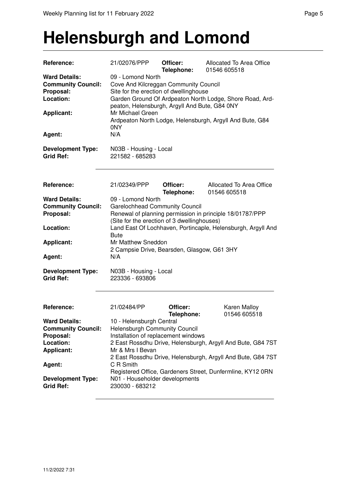#### **Helensburgh and Lomond**

| Reference:                                                                                                 | 21/02076/PPP                                                                                                                                                                                                                                                                                                    | Officer:<br>Telephone: | Allocated To Area Office<br>01546 605518                     |  |
|------------------------------------------------------------------------------------------------------------|-----------------------------------------------------------------------------------------------------------------------------------------------------------------------------------------------------------------------------------------------------------------------------------------------------------------|------------------------|--------------------------------------------------------------|--|
| <b>Ward Details:</b><br><b>Community Council:</b><br>Proposal:<br>Location:<br><b>Applicant:</b><br>Agent: | 09 - Lomond North<br>Cove And Kilcreggan Community Council<br>Site for the erection of dwellinghouse<br>Garden Ground Of Ardpeaton North Lodge, Shore Road, Ard-<br>peaton, Helensburgh, Argyll And Bute, G84 0NY<br>Mr Michael Green<br>Ardpeaton North Lodge, Helensburgh, Argyll And Bute, G84<br>0NY<br>N/A |                        |                                                              |  |
| <b>Development Type:</b><br><b>Grid Ref:</b>                                                               | N03B - Housing - Local<br>221582 - 685283                                                                                                                                                                                                                                                                       |                        |                                                              |  |
| Reference:                                                                                                 | 21/02349/PPP                                                                                                                                                                                                                                                                                                    | Officer:<br>Telephone: | Allocated To Area Office<br>01546 605518                     |  |
| <b>Ward Details:</b>                                                                                       | 09 - Lomond North                                                                                                                                                                                                                                                                                               |                        |                                                              |  |
| <b>Community Council:</b>                                                                                  | <b>Garelochhead Community Council</b>                                                                                                                                                                                                                                                                           |                        |                                                              |  |
| Proposal:                                                                                                  |                                                                                                                                                                                                                                                                                                                 |                        | Renewal of planning permission in principle 18/01787/PPP     |  |
|                                                                                                            | (Site for the erection of 3 dwellinghouses)                                                                                                                                                                                                                                                                     |                        |                                                              |  |
| Location:                                                                                                  |                                                                                                                                                                                                                                                                                                                 |                        | Land East Of Lochhaven, Portincaple, Helensburgh, Argyll And |  |
| <b>Applicant:</b>                                                                                          | <b>Bute</b><br>Mr Matthew Sneddon                                                                                                                                                                                                                                                                               |                        |                                                              |  |
|                                                                                                            |                                                                                                                                                                                                                                                                                                                 |                        |                                                              |  |
| Agent:                                                                                                     | 2 Campsie Drive, Bearsden, Glasgow, G61 3HY<br>N/A                                                                                                                                                                                                                                                              |                        |                                                              |  |
| <b>Development Type:</b><br><b>Grid Ref:</b>                                                               | N03B - Housing - Local<br>223336 - 693806                                                                                                                                                                                                                                                                       |                        |                                                              |  |
| Reference:                                                                                                 | 21/02484/PP                                                                                                                                                                                                                                                                                                     | Officer:<br>Telephone: | Karen Malloy<br>01546 605518                                 |  |
| <b>Ward Details:</b>                                                                                       | 10 - Helensburgh Central                                                                                                                                                                                                                                                                                        |                        |                                                              |  |
| <b>Community Council:</b>                                                                                  | <b>Helensburgh Community Council</b>                                                                                                                                                                                                                                                                            |                        |                                                              |  |
| Proposal:                                                                                                  | Installation of replacement windows                                                                                                                                                                                                                                                                             |                        |                                                              |  |
| Location:                                                                                                  |                                                                                                                                                                                                                                                                                                                 |                        | 2 East Rossdhu Drive, Helensburgh, Argyll And Bute, G84 7ST  |  |
| <b>Applicant:</b>                                                                                          | Mr & Mrs I Bevan                                                                                                                                                                                                                                                                                                |                        |                                                              |  |
|                                                                                                            | C R Smith                                                                                                                                                                                                                                                                                                       |                        | 2 East Rossdhu Drive, Helensburgh, Argyll And Bute, G84 7ST  |  |
| Agent:                                                                                                     |                                                                                                                                                                                                                                                                                                                 |                        | Registered Office, Gardeners Street, Dunfermline, KY12 0RN   |  |
| <b>Development Type:</b><br><b>Grid Ref:</b>                                                               | N01 - Householder developments<br>230030 - 683212                                                                                                                                                                                                                                                               |                        |                                                              |  |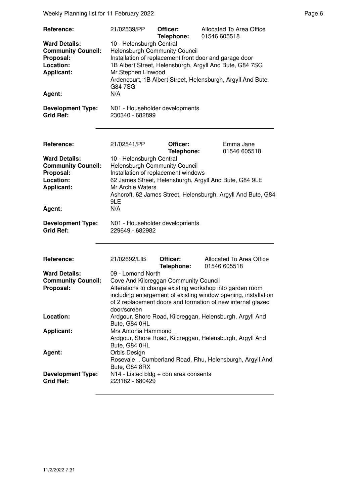Weekly Planning list for 11 February 2022 **Page 6** and the extent of the extent of the extent of the extent of the extent of the extent of the extent of the extent of the extent of the extent of the extent of the extent of

| Reference:<br><b>Ward Details:</b><br><b>Community Council:</b><br>Proposal:<br>Location:<br><b>Applicant:</b><br>Agent:<br><b>Development Type:</b><br><b>Grid Ref:</b> | 21/02539/PP<br>10 - Helensburgh Central<br><b>Helensburgh Community Council</b><br>Mr Stephen Linwood<br>G84 7SG<br>N/A<br>N01 - Householder developments<br>230340 - 682899                                                                    | Officer:<br>Telephone: | Allocated To Area Office<br>01546 605518<br>Installation of replacement front door and garage door<br>1B Albert Street, Helensburgh, Argyll And Bute, G84 7SG<br>Ardencourt, 1B Albert Street, Helensburgh, Argyll And Bute,                                                                                                                                                                                             |
|--------------------------------------------------------------------------------------------------------------------------------------------------------------------------|-------------------------------------------------------------------------------------------------------------------------------------------------------------------------------------------------------------------------------------------------|------------------------|--------------------------------------------------------------------------------------------------------------------------------------------------------------------------------------------------------------------------------------------------------------------------------------------------------------------------------------------------------------------------------------------------------------------------|
| Reference:<br><b>Ward Details:</b><br><b>Community Council:</b><br>Proposal:<br>Location:<br><b>Applicant:</b><br>Agent:<br><b>Development Type:</b><br><b>Grid Ref:</b> | 21/02541/PP<br>10 - Helensburgh Central<br><b>Helensburgh Community Council</b><br>Installation of replacement windows<br><b>Mr Archie Waters</b><br>9LE<br>N/A<br>N01 - Householder developments<br>229649 - 682982                            | Officer:<br>Telephone: | Emma Jane<br>01546 605518<br>62 James Street, Helensburgh, Argyll And Bute, G84 9LE<br>Ashcroft, 62 James Street, Helensburgh, Argyll And Bute, G84                                                                                                                                                                                                                                                                      |
| Reference:<br><b>Ward Details:</b><br><b>Community Council:</b><br>Proposal:<br>Location:<br><b>Applicant:</b><br>Agent:<br><b>Development Type:</b><br><b>Grid Ref:</b> | 21/02692/LIB<br>09 - Lomond North<br>Cove And Kilcreggan Community Council<br>door/screen<br>Bute, G84 0HL<br>Mrs Antonia Hammond<br>Bute, G84 0HL<br>Orbis Design<br>Bute, G84 8RX<br>N14 - Listed bldg + con area consents<br>223182 - 680429 | Officer:<br>Telephone: | Allocated To Area Office<br>01546 605518<br>Alterations to change existing workshop into garden room<br>including enlargement of existing window opening, installation<br>of 2 replacement doors and formation of new internal glazed<br>Ardgour, Shore Road, Kilcreggan, Helensburgh, Argyll And<br>Ardgour, Shore Road, Kilcreggan, Helensburgh, Argyll And<br>Rosevale, Cumberland Road, Rhu, Helensburgh, Argyll And |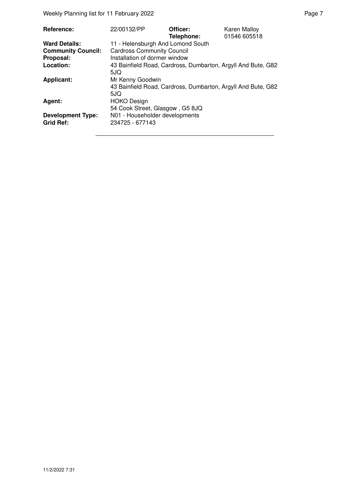Weekly Planning list for 11 February 2022 **Page 7** Neekly Planning list for 11 February 2022

| Reference:                                   | 22/00132/PP                                                         | Officer:<br>Telephone: | Karen Malloy<br>01546 605518 |
|----------------------------------------------|---------------------------------------------------------------------|------------------------|------------------------------|
| <b>Ward Details:</b>                         | 11 - Helensburgh And Lomond South                                   |                        |                              |
| <b>Community Council:</b>                    | <b>Cardross Community Council</b>                                   |                        |                              |
| Proposal:                                    | Installation of dormer window                                       |                        |                              |
| Location:                                    | 43 Bainfield Road, Cardross, Dumbarton, Argyll And Bute, G82<br>5JQ |                        |                              |
| <b>Applicant:</b>                            | Mr Kenny Goodwin                                                    |                        |                              |
|                                              | 43 Bainfield Road, Cardross, Dumbarton, Argyll And Bute, G82<br>5JQ |                        |                              |
| Agent:                                       | <b>HOKO Design</b>                                                  |                        |                              |
|                                              | 54 Cook Street, Glasgow, G5 8JQ                                     |                        |                              |
| <b>Development Type:</b><br><b>Grid Ref:</b> | N01 - Householder developments<br>234725 - 677143                   |                        |                              |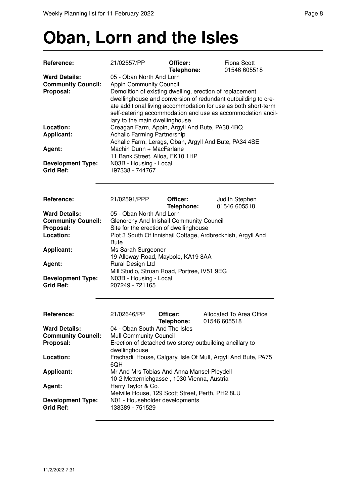### **Oban, Lorn and the Isles**

| Reference:                                                                  | 21/02557/PP                                                                                                                                                                                                                                                                                                                                                                              | Officer:               | <b>Fiona Scott</b>                                    |  |  |
|-----------------------------------------------------------------------------|------------------------------------------------------------------------------------------------------------------------------------------------------------------------------------------------------------------------------------------------------------------------------------------------------------------------------------------------------------------------------------------|------------------------|-------------------------------------------------------|--|--|
| <b>Ward Details:</b><br><b>Community Council:</b><br>Proposal:              | Telephone:<br>01546 605518<br>05 - Oban North And Lorn<br><b>Appin Community Council</b><br>Demolition of existing dwelling, erection of replacement<br>dwellinghouse and conversion of redundant outbuilding to cre-<br>ate additional living accommodation for use as both short-term<br>self-catering accommodation and use as accommodation ancil-<br>lary to the main dwellinghouse |                        |                                                       |  |  |
| Location:                                                                   | Creagan Farm, Appin, Argyll And Bute, PA38 4BQ                                                                                                                                                                                                                                                                                                                                           |                        |                                                       |  |  |
| Applicant:                                                                  | <b>Achalic Farming Partnership</b>                                                                                                                                                                                                                                                                                                                                                       |                        | Achalic Farm, Lerags, Oban, Argyll And Bute, PA34 4SE |  |  |
| Agent:                                                                      | Machin Dunn + MacFarlane<br>11 Bank Street, Alloa, FK10 1HP                                                                                                                                                                                                                                                                                                                              |                        |                                                       |  |  |
| <b>Development Type:</b><br><b>Grid Ref:</b>                                | N03B - Housing - Local<br>197338 - 744767                                                                                                                                                                                                                                                                                                                                                |                        |                                                       |  |  |
| Reference:                                                                  | 21/02591/PPP                                                                                                                                                                                                                                                                                                                                                                             | Officer:<br>Telephone: | Judith Stephen<br>01546 605518                        |  |  |
| <b>Ward Details:</b><br><b>Community Council:</b><br>Proposal:<br>Location: | 05 - Oban North And Lorn<br>Glenorchy And Inishail Community Council<br>Site for the erection of dwellinghouse<br>Plot 3 South Of Innishail Cottage, Ardbrecknish, Argyll And                                                                                                                                                                                                            |                        |                                                       |  |  |
| <b>Applicant:</b>                                                           | <b>Bute</b><br>Ms Sarah Surgeoner<br>19 Alloway Road, Maybole, KA19 8AA                                                                                                                                                                                                                                                                                                                  |                        |                                                       |  |  |
| Agent:                                                                      | Rural Design Ltd<br>Mill Studio, Struan Road, Portree, IV51 9EG                                                                                                                                                                                                                                                                                                                          |                        |                                                       |  |  |
| <b>Development Type:</b><br><b>Grid Ref:</b>                                | N03B - Housing - Local<br>207249 - 721165                                                                                                                                                                                                                                                                                                                                                |                        |                                                       |  |  |
| Reference:                                                                  | 21/02646/PP                                                                                                                                                                                                                                                                                                                                                                              | Officer:<br>Telephone: | Allocated To Area Office<br>01546 605518              |  |  |
| <b>Ward Details:</b><br><b>Community Council:</b><br>Proposal:              | 04 - Oban South And The Isles<br>Mull Community Council<br>Erection of detached two storey outbuilding ancillary to                                                                                                                                                                                                                                                                      |                        |                                                       |  |  |
| Location:                                                                   | dwellinghouse<br>Frachadil House, Calgary, Isle Of Mull, Argyll And Bute, PA75<br>6QH<br>Mr And Mrs Tobias And Anna Mansel-Pleydell<br>10-2 Metternichgasse, 1030 Vienna, Austria<br>Harry Taylor & Co.<br>Melville House, 129 Scott Street, Perth, PH2 8LU<br>N01 - Householder developments<br>138389 - 751529                                                                         |                        |                                                       |  |  |
| <b>Applicant:</b>                                                           |                                                                                                                                                                                                                                                                                                                                                                                          |                        |                                                       |  |  |
| Agent:                                                                      |                                                                                                                                                                                                                                                                                                                                                                                          |                        |                                                       |  |  |
| <b>Development Type:</b><br><b>Grid Ref:</b>                                |                                                                                                                                                                                                                                                                                                                                                                                          |                        |                                                       |  |  |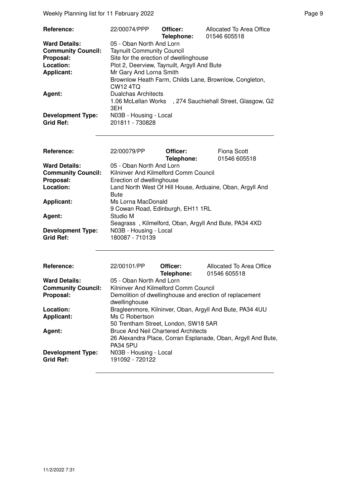Weekly Planning list for 11 February 2022 **Page 9** Page 9

| <b>Reference:</b>                            | 22/00074/PPP                                | Officer:<br>Telephone: | Allocated To Area Office<br>01546 605518                  |
|----------------------------------------------|---------------------------------------------|------------------------|-----------------------------------------------------------|
| <b>Ward Details:</b>                         | 05 - Oban North And Lorn                    |                        |                                                           |
| <b>Community Council:</b>                    | <b>Taynuilt Community Council</b>           |                        |                                                           |
| Proposal:                                    | Site for the erection of dwellinghouse      |                        |                                                           |
| Location:                                    | Plot 2, Deerview, Taynuilt, Argyll And Bute |                        |                                                           |
| <b>Applicant:</b>                            | Mr Gary And Lorna Smith                     |                        |                                                           |
|                                              | CW <sub>12</sub> 4TQ                        |                        | Brownlow Heath Farm, Childs Lane, Brownlow, Congleton,    |
| Agent:                                       | Dualchas Architects                         |                        |                                                           |
|                                              | 3EH                                         |                        | 1.06 McLellan Works , 274 Sauchiehall Street, Glasgow, G2 |
| <b>Development Type:</b><br><b>Grid Ref:</b> | N03B - Housing - Local<br>201811 - 730828   |                        |                                                           |

| <b>Reference:</b>         | 22/00079/PP                                               | Officer:   | Fiona Scott  |
|---------------------------|-----------------------------------------------------------|------------|--------------|
| <b>Ward Details:</b>      | 05 - Oban North And Lorn                                  | Telephone: | 01546 605518 |
|                           |                                                           |            |              |
| <b>Community Council:</b> | Kilninver And Kilmelford Comm Council                     |            |              |
| Proposal:                 | Erection of dwellinghouse                                 |            |              |
| Location:                 | Land North West Of Hill House, Arduaine, Oban, Argyll And |            |              |
|                           | <b>Bute</b>                                               |            |              |
| <b>Applicant:</b>         | Ms Lorna MacDonald                                        |            |              |
|                           | 9 Cowan Road, Edinburgh, EH11 1RL                         |            |              |
| Agent:                    | Studio M                                                  |            |              |
|                           | Seagrass, Kilmelford, Oban, Argyll And Bute, PA34 4XD     |            |              |
| <b>Development Type:</b>  | N03B - Housing - Local                                    |            |              |
| <b>Grid Ref:</b>          | 180087 - 710139                                           |            |              |
|                           |                                                           |            |              |
|                           |                                                           |            |              |

| <b>Reference:</b>         | 22/00101/PP                                                              | Officer:   | Allocated To Area Office                                     |
|---------------------------|--------------------------------------------------------------------------|------------|--------------------------------------------------------------|
|                           |                                                                          | Telephone: | 01546 605518                                                 |
| <b>Ward Details:</b>      | 05 - Oban North And Lorn                                                 |            |                                                              |
| <b>Community Council:</b> | Kilninver And Kilmelford Comm Council                                    |            |                                                              |
| Proposal:                 | Demolition of dwellinghouse and erection of replacement<br>dwellinghouse |            |                                                              |
| Location:                 | Bragleenmore, Kilninver, Oban, Argyll And Bute, PA34 4UU                 |            |                                                              |
| Applicant:                | Ms C Robertson                                                           |            |                                                              |
|                           | 50 Trentham Street, London, SW18 5AR                                     |            |                                                              |
| Agent:                    | <b>Bruce And Neil Chartered Architects</b>                               |            |                                                              |
|                           |                                                                          |            | 26 Alexandra Place, Corran Esplanade, Oban, Argyll And Bute, |
|                           | <b>PA34 5PU</b>                                                          |            |                                                              |
| <b>Development Type:</b>  | N03B - Housing - Local                                                   |            |                                                              |
| <b>Grid Ref:</b>          | 191092 - 720122                                                          |            |                                                              |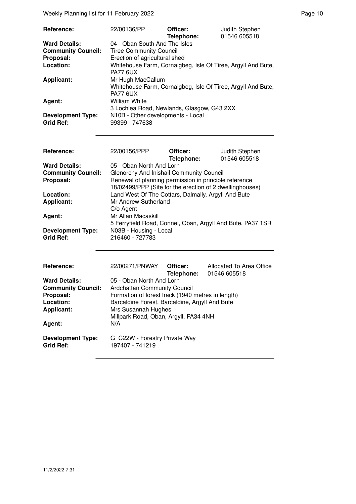Weekly Planning list for 11 February 2022 **Page 10** Page 10

| <b>Reference:</b>                            | 22/00136/PP                                         | Officer:<br>Telephone: | Judith Stephen<br>01546 605518                               |
|----------------------------------------------|-----------------------------------------------------|------------------------|--------------------------------------------------------------|
| <b>Ward Details:</b>                         | 04 - Oban South And The Isles                       |                        |                                                              |
| <b>Community Council:</b>                    | <b>Tiree Community Council</b>                      |                        |                                                              |
| Proposal:                                    | Erection of agricultural shed                       |                        |                                                              |
| Location:                                    | PA77 6UX                                            |                        | Whitehouse Farm, Cornaigbeg, Isle Of Tiree, Argyll And Bute, |
| <b>Applicant:</b>                            | Mr Hugh MacCallum                                   |                        |                                                              |
|                                              | PA77 6UX                                            |                        | Whitehouse Farm, Cornaigbeg, Isle Of Tiree, Argyll And Bute, |
| <b>Agent:</b>                                | <b>William White</b>                                |                        |                                                              |
|                                              | 3 Lochlea Road, Newlands, Glasgow, G43 2XX          |                        |                                                              |
| <b>Development Type:</b><br><b>Grid Ref:</b> | N10B - Other developments - Local<br>99399 - 747638 |                        |                                                              |
| Reference:                                   | 22/00156/PPP                                        | Officer:<br>Telephone: | Judith Stephen<br>01546 605518                               |

| <b>Ward Details:</b>      | 05 - Oban North And Lorn                                   |
|---------------------------|------------------------------------------------------------|
| <b>Community Council:</b> | Glenorchy And Inishail Community Council                   |
| Proposal:                 | Renewal of planning permission in principle reference      |
|                           | 18/02499/PPP (Site for the erection of 2 dwellinghouses)   |
| Location:                 | Land West Of The Cottars, Dalmally, Argyll And Bute        |
| <b>Applicant:</b>         | Mr Andrew Sutherland                                       |
|                           | $C/O$ Agent                                                |
| Agent:                    | Mr Allan Macaskill                                         |
|                           | 5 Ferryfield Road, Connel, Oban, Argyll And Bute, PA37 1SR |
| <b>Development Type:</b>  | N03B - Housing - Local                                     |
| Grid Ref:                 | 216460 - 727783                                            |

| <b>Reference:</b>                            | 22/00271/PNWAY                                    | Officer:<br>Telephone: | Allocated To Area Office<br>01546 605518 |
|----------------------------------------------|---------------------------------------------------|------------------------|------------------------------------------|
| <b>Ward Details:</b>                         | 05 - Oban North And Lorn                          |                        |                                          |
| <b>Community Council:</b>                    | Ardchattan Community Council                      |                        |                                          |
| Proposal:                                    | Formation of forest track (1940 metres in length) |                        |                                          |
| Location:                                    | Barcaldine Forest, Barcaldine, Argyll And Bute    |                        |                                          |
| <b>Applicant:</b>                            | Mrs Susannah Hughes                               |                        |                                          |
|                                              | Millpark Road, Oban, Argyll, PA34 4NH             |                        |                                          |
| Agent:                                       | N/A                                               |                        |                                          |
| <b>Development Type:</b><br><b>Grid Ref:</b> | G C22W - Forestry Private Way<br>197407 - 741219  |                        |                                          |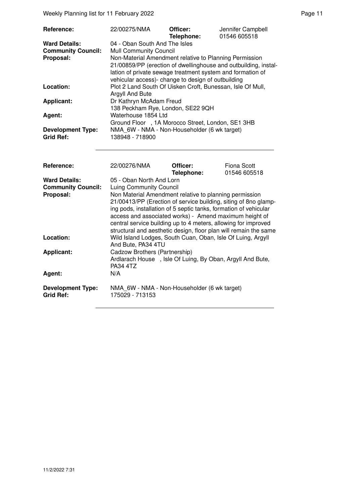| Reference:                                                     | 22/00275/NMA                                                                                                                                                                                                                                                                                                                                                                                                                                                | Officer:<br>Telephone: | Jennifer Campbell<br>01546 605518  |  |
|----------------------------------------------------------------|-------------------------------------------------------------------------------------------------------------------------------------------------------------------------------------------------------------------------------------------------------------------------------------------------------------------------------------------------------------------------------------------------------------------------------------------------------------|------------------------|------------------------------------|--|
| <b>Ward Details:</b><br><b>Community Council:</b><br>Proposal: | 04 - Oban South And The Isles<br><b>Mull Community Council</b><br>Non-Material Amendment relative to Planning Permission<br>21/00859/PP (erection of dwellinghouse and outbuilding, instal-<br>lation of private sewage treatment system and formation of<br>vehicular access)- change to design of outbuilding                                                                                                                                             |                        |                                    |  |
| Location:                                                      | Plot 2 Land South Of Uisken Croft, Bunessan, Isle Of Mull,<br>Argyll And Bute                                                                                                                                                                                                                                                                                                                                                                               |                        |                                    |  |
| <b>Applicant:</b>                                              | Dr Kathryn McAdam Freud<br>138 Peckham Rye, London, SE22 9QH                                                                                                                                                                                                                                                                                                                                                                                                |                        |                                    |  |
| Agent:                                                         | Waterhouse 1854 Ltd<br>Ground Floor , 1A Morocco Street, London, SE1 3HB                                                                                                                                                                                                                                                                                                                                                                                    |                        |                                    |  |
| <b>Development Type:</b><br><b>Grid Ref:</b>                   | NMA 6W - NMA - Non-Householder (6 wk target)<br>138948 - 718900                                                                                                                                                                                                                                                                                                                                                                                             |                        |                                    |  |
| <b>Reference:</b>                                              | 22/00276/NMA                                                                                                                                                                                                                                                                                                                                                                                                                                                | Officer:<br>Telephone: | <b>Fiona Scott</b><br>01546 605518 |  |
| <b>Ward Details:</b><br><b>Community Council:</b><br>Proposal: | 05 - Oban North And Lorn<br><b>Luing Community Council</b><br>Non Material Amendment relative to planning permission<br>21/00413/PP (Erection of service building, siting of 8no glamp-<br>ing pods, installation of 5 septic tanks, formation of vehicular<br>access and associated works) - Amend maximum height of<br>central service building up to 4 meters, allowing for improved<br>structural and aesthetic design, floor plan will remain the same |                        |                                    |  |
| Location:                                                      | Wild Island Lodges, South Cuan, Oban, Isle Of Luing, Argyll<br>And Bute, PA34 4TU                                                                                                                                                                                                                                                                                                                                                                           |                        |                                    |  |
| <b>Applicant:</b>                                              | Cadzow Brothers (Partnership)<br>Ardlarach House, Isle Of Luing, By Oban, Argyll And Bute,<br><b>PA34 4TZ</b>                                                                                                                                                                                                                                                                                                                                               |                        |                                    |  |
| Agent:                                                         | N/A                                                                                                                                                                                                                                                                                                                                                                                                                                                         |                        |                                    |  |
| <b>Development Type:</b><br><b>Grid Ref:</b>                   | NMA 6W - NMA - Non-Householder (6 wk target)<br>175029 - 713153                                                                                                                                                                                                                                                                                                                                                                                             |                        |                                    |  |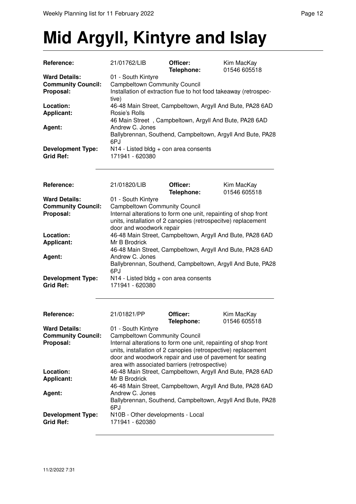## **Mid Argyll, Kintyre and Islay**

| <b>Ward Details:</b><br>01 - South Kintyre<br><b>Campbeltown Community Council</b><br><b>Community Council:</b><br>Proposal:<br>Installation of extraction flue to hot food takeaway (retrospec-<br>tive)<br>46-48 Main Street, Campbeltown, Argyll And Bute, PA28 6AD<br>Location:<br><b>Applicant:</b><br>Rosie's Rolls<br>46 Main Street, Campbeltown, Argyll And Bute, PA28 6AD<br>Andrew C. Jones<br>Agent:<br>Ballybrennan, Southend, Campbeltown, Argyll And Bute, PA28<br>6PJ<br>N14 - Listed bldg + con area consents<br><b>Development Type:</b><br><b>Grid Ref:</b><br>171941 - 620380<br>Reference:<br>21/01820/LIB<br>Officer:<br>Kim MacKay<br>Telephone:<br>01546 605518<br><b>Ward Details:</b><br>01 - South Kintyre<br><b>Campbeltown Community Council</b><br><b>Community Council:</b><br>Internal alterations to form one unit, repainting of shop front<br>Proposal:<br>units, installation of 2 canopies (retrospecitve) replacement<br>door and woodwork repair<br>46-48 Main Street, Campbeltown, Argyll And Bute, PA28 6AD<br>Location:<br><b>Applicant:</b><br>Mr B Brodrick<br>46-48 Main Street, Campbeltown, Argyll And Bute, PA28 6AD<br>Andrew C. Jones<br>Agent:<br>Ballybrennan, Southend, Campbeltown, Argyll And Bute, PA28<br>6PJ<br><b>Development Type:</b><br>N14 - Listed bldg + con area consents<br><b>Grid Ref:</b><br>171941 - 620380<br>21/01821/PP<br>Reference:<br>Officer:<br>Kim MacKay<br>Telephone:<br>01546 605518<br>01 - South Kintyre<br><b>Ward Details:</b><br><b>Community Council:</b><br><b>Campbeltown Community Council</b><br>Proposal:<br>Internal alterations to form one unit, repainting of shop front<br>units, installation of 2 canopies (retrospective) replacement<br>door and woodwork repair and use of pavement for seating<br>area with associated barriers (retrospective)<br>Location:<br>46-48 Main Street, Campbeltown, Argyll And Bute, PA28 6AD<br><b>Applicant:</b><br>Mr B Brodrick<br>46-48 Main Street, Campbeltown, Argyll And Bute, PA28 6AD<br>Andrew C. Jones<br>Agent: | Reference:                                   | 21/01762/LIB    | Officer:<br>Telephone: | Kim MacKay<br>01546 605518 |  |
|--------------------------------------------------------------------------------------------------------------------------------------------------------------------------------------------------------------------------------------------------------------------------------------------------------------------------------------------------------------------------------------------------------------------------------------------------------------------------------------------------------------------------------------------------------------------------------------------------------------------------------------------------------------------------------------------------------------------------------------------------------------------------------------------------------------------------------------------------------------------------------------------------------------------------------------------------------------------------------------------------------------------------------------------------------------------------------------------------------------------------------------------------------------------------------------------------------------------------------------------------------------------------------------------------------------------------------------------------------------------------------------------------------------------------------------------------------------------------------------------------------------------------------------------------------------------------------------------------------------------------------------------------------------------------------------------------------------------------------------------------------------------------------------------------------------------------------------------------------------------------------------------------------------------------------------------------------------------------------------------------------------------------------------------------------------------|----------------------------------------------|-----------------|------------------------|----------------------------|--|
|                                                                                                                                                                                                                                                                                                                                                                                                                                                                                                                                                                                                                                                                                                                                                                                                                                                                                                                                                                                                                                                                                                                                                                                                                                                                                                                                                                                                                                                                                                                                                                                                                                                                                                                                                                                                                                                                                                                                                                                                                                                                    |                                              |                 |                        |                            |  |
|                                                                                                                                                                                                                                                                                                                                                                                                                                                                                                                                                                                                                                                                                                                                                                                                                                                                                                                                                                                                                                                                                                                                                                                                                                                                                                                                                                                                                                                                                                                                                                                                                                                                                                                                                                                                                                                                                                                                                                                                                                                                    |                                              |                 |                        |                            |  |
|                                                                                                                                                                                                                                                                                                                                                                                                                                                                                                                                                                                                                                                                                                                                                                                                                                                                                                                                                                                                                                                                                                                                                                                                                                                                                                                                                                                                                                                                                                                                                                                                                                                                                                                                                                                                                                                                                                                                                                                                                                                                    |                                              |                 |                        |                            |  |
|                                                                                                                                                                                                                                                                                                                                                                                                                                                                                                                                                                                                                                                                                                                                                                                                                                                                                                                                                                                                                                                                                                                                                                                                                                                                                                                                                                                                                                                                                                                                                                                                                                                                                                                                                                                                                                                                                                                                                                                                                                                                    |                                              |                 |                        |                            |  |
|                                                                                                                                                                                                                                                                                                                                                                                                                                                                                                                                                                                                                                                                                                                                                                                                                                                                                                                                                                                                                                                                                                                                                                                                                                                                                                                                                                                                                                                                                                                                                                                                                                                                                                                                                                                                                                                                                                                                                                                                                                                                    |                                              |                 |                        |                            |  |
|                                                                                                                                                                                                                                                                                                                                                                                                                                                                                                                                                                                                                                                                                                                                                                                                                                                                                                                                                                                                                                                                                                                                                                                                                                                                                                                                                                                                                                                                                                                                                                                                                                                                                                                                                                                                                                                                                                                                                                                                                                                                    |                                              |                 |                        |                            |  |
|                                                                                                                                                                                                                                                                                                                                                                                                                                                                                                                                                                                                                                                                                                                                                                                                                                                                                                                                                                                                                                                                                                                                                                                                                                                                                                                                                                                                                                                                                                                                                                                                                                                                                                                                                                                                                                                                                                                                                                                                                                                                    |                                              |                 |                        |                            |  |
|                                                                                                                                                                                                                                                                                                                                                                                                                                                                                                                                                                                                                                                                                                                                                                                                                                                                                                                                                                                                                                                                                                                                                                                                                                                                                                                                                                                                                                                                                                                                                                                                                                                                                                                                                                                                                                                                                                                                                                                                                                                                    |                                              |                 |                        |                            |  |
|                                                                                                                                                                                                                                                                                                                                                                                                                                                                                                                                                                                                                                                                                                                                                                                                                                                                                                                                                                                                                                                                                                                                                                                                                                                                                                                                                                                                                                                                                                                                                                                                                                                                                                                                                                                                                                                                                                                                                                                                                                                                    |                                              |                 |                        |                            |  |
|                                                                                                                                                                                                                                                                                                                                                                                                                                                                                                                                                                                                                                                                                                                                                                                                                                                                                                                                                                                                                                                                                                                                                                                                                                                                                                                                                                                                                                                                                                                                                                                                                                                                                                                                                                                                                                                                                                                                                                                                                                                                    |                                              |                 |                        |                            |  |
|                                                                                                                                                                                                                                                                                                                                                                                                                                                                                                                                                                                                                                                                                                                                                                                                                                                                                                                                                                                                                                                                                                                                                                                                                                                                                                                                                                                                                                                                                                                                                                                                                                                                                                                                                                                                                                                                                                                                                                                                                                                                    |                                              |                 |                        |                            |  |
|                                                                                                                                                                                                                                                                                                                                                                                                                                                                                                                                                                                                                                                                                                                                                                                                                                                                                                                                                                                                                                                                                                                                                                                                                                                                                                                                                                                                                                                                                                                                                                                                                                                                                                                                                                                                                                                                                                                                                                                                                                                                    |                                              |                 |                        |                            |  |
|                                                                                                                                                                                                                                                                                                                                                                                                                                                                                                                                                                                                                                                                                                                                                                                                                                                                                                                                                                                                                                                                                                                                                                                                                                                                                                                                                                                                                                                                                                                                                                                                                                                                                                                                                                                                                                                                                                                                                                                                                                                                    |                                              |                 |                        |                            |  |
|                                                                                                                                                                                                                                                                                                                                                                                                                                                                                                                                                                                                                                                                                                                                                                                                                                                                                                                                                                                                                                                                                                                                                                                                                                                                                                                                                                                                                                                                                                                                                                                                                                                                                                                                                                                                                                                                                                                                                                                                                                                                    |                                              |                 |                        |                            |  |
|                                                                                                                                                                                                                                                                                                                                                                                                                                                                                                                                                                                                                                                                                                                                                                                                                                                                                                                                                                                                                                                                                                                                                                                                                                                                                                                                                                                                                                                                                                                                                                                                                                                                                                                                                                                                                                                                                                                                                                                                                                                                    |                                              |                 |                        |                            |  |
|                                                                                                                                                                                                                                                                                                                                                                                                                                                                                                                                                                                                                                                                                                                                                                                                                                                                                                                                                                                                                                                                                                                                                                                                                                                                                                                                                                                                                                                                                                                                                                                                                                                                                                                                                                                                                                                                                                                                                                                                                                                                    |                                              |                 |                        |                            |  |
|                                                                                                                                                                                                                                                                                                                                                                                                                                                                                                                                                                                                                                                                                                                                                                                                                                                                                                                                                                                                                                                                                                                                                                                                                                                                                                                                                                                                                                                                                                                                                                                                                                                                                                                                                                                                                                                                                                                                                                                                                                                                    |                                              |                 |                        |                            |  |
|                                                                                                                                                                                                                                                                                                                                                                                                                                                                                                                                                                                                                                                                                                                                                                                                                                                                                                                                                                                                                                                                                                                                                                                                                                                                                                                                                                                                                                                                                                                                                                                                                                                                                                                                                                                                                                                                                                                                                                                                                                                                    |                                              |                 |                        |                            |  |
|                                                                                                                                                                                                                                                                                                                                                                                                                                                                                                                                                                                                                                                                                                                                                                                                                                                                                                                                                                                                                                                                                                                                                                                                                                                                                                                                                                                                                                                                                                                                                                                                                                                                                                                                                                                                                                                                                                                                                                                                                                                                    |                                              |                 |                        |                            |  |
|                                                                                                                                                                                                                                                                                                                                                                                                                                                                                                                                                                                                                                                                                                                                                                                                                                                                                                                                                                                                                                                                                                                                                                                                                                                                                                                                                                                                                                                                                                                                                                                                                                                                                                                                                                                                                                                                                                                                                                                                                                                                    |                                              |                 |                        |                            |  |
|                                                                                                                                                                                                                                                                                                                                                                                                                                                                                                                                                                                                                                                                                                                                                                                                                                                                                                                                                                                                                                                                                                                                                                                                                                                                                                                                                                                                                                                                                                                                                                                                                                                                                                                                                                                                                                                                                                                                                                                                                                                                    |                                              |                 |                        |                            |  |
|                                                                                                                                                                                                                                                                                                                                                                                                                                                                                                                                                                                                                                                                                                                                                                                                                                                                                                                                                                                                                                                                                                                                                                                                                                                                                                                                                                                                                                                                                                                                                                                                                                                                                                                                                                                                                                                                                                                                                                                                                                                                    |                                              |                 |                        |                            |  |
|                                                                                                                                                                                                                                                                                                                                                                                                                                                                                                                                                                                                                                                                                                                                                                                                                                                                                                                                                                                                                                                                                                                                                                                                                                                                                                                                                                                                                                                                                                                                                                                                                                                                                                                                                                                                                                                                                                                                                                                                                                                                    |                                              |                 |                        |                            |  |
|                                                                                                                                                                                                                                                                                                                                                                                                                                                                                                                                                                                                                                                                                                                                                                                                                                                                                                                                                                                                                                                                                                                                                                                                                                                                                                                                                                                                                                                                                                                                                                                                                                                                                                                                                                                                                                                                                                                                                                                                                                                                    |                                              |                 |                        |                            |  |
|                                                                                                                                                                                                                                                                                                                                                                                                                                                                                                                                                                                                                                                                                                                                                                                                                                                                                                                                                                                                                                                                                                                                                                                                                                                                                                                                                                                                                                                                                                                                                                                                                                                                                                                                                                                                                                                                                                                                                                                                                                                                    |                                              |                 |                        |                            |  |
|                                                                                                                                                                                                                                                                                                                                                                                                                                                                                                                                                                                                                                                                                                                                                                                                                                                                                                                                                                                                                                                                                                                                                                                                                                                                                                                                                                                                                                                                                                                                                                                                                                                                                                                                                                                                                                                                                                                                                                                                                                                                    |                                              |                 |                        |                            |  |
|                                                                                                                                                                                                                                                                                                                                                                                                                                                                                                                                                                                                                                                                                                                                                                                                                                                                                                                                                                                                                                                                                                                                                                                                                                                                                                                                                                                                                                                                                                                                                                                                                                                                                                                                                                                                                                                                                                                                                                                                                                                                    |                                              |                 |                        |                            |  |
| Ballybrennan, Southend, Campbeltown, Argyll And Bute, PA28                                                                                                                                                                                                                                                                                                                                                                                                                                                                                                                                                                                                                                                                                                                                                                                                                                                                                                                                                                                                                                                                                                                                                                                                                                                                                                                                                                                                                                                                                                                                                                                                                                                                                                                                                                                                                                                                                                                                                                                                         |                                              |                 |                        |                            |  |
| 6PJ                                                                                                                                                                                                                                                                                                                                                                                                                                                                                                                                                                                                                                                                                                                                                                                                                                                                                                                                                                                                                                                                                                                                                                                                                                                                                                                                                                                                                                                                                                                                                                                                                                                                                                                                                                                                                                                                                                                                                                                                                                                                |                                              |                 |                        |                            |  |
| N10B - Other developments - Local                                                                                                                                                                                                                                                                                                                                                                                                                                                                                                                                                                                                                                                                                                                                                                                                                                                                                                                                                                                                                                                                                                                                                                                                                                                                                                                                                                                                                                                                                                                                                                                                                                                                                                                                                                                                                                                                                                                                                                                                                                  | <b>Development Type:</b><br><b>Grid Ref:</b> | 171941 - 620380 |                        |                            |  |
|                                                                                                                                                                                                                                                                                                                                                                                                                                                                                                                                                                                                                                                                                                                                                                                                                                                                                                                                                                                                                                                                                                                                                                                                                                                                                                                                                                                                                                                                                                                                                                                                                                                                                                                                                                                                                                                                                                                                                                                                                                                                    |                                              |                 |                        |                            |  |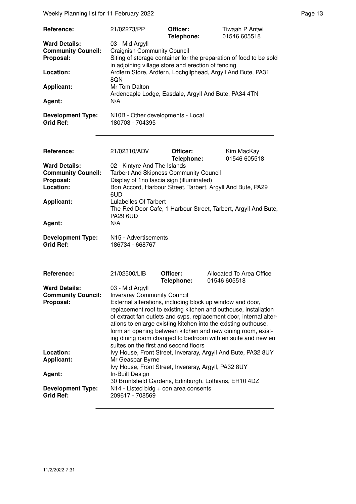Weekly Planning list for 11 February 2022 **Page 13** Page 13

| Reference:                                   | 21/02273/PP                                                        | Officer:<br>Telephone: | Tiwaah P Antwi<br>01546 605518                                     |
|----------------------------------------------|--------------------------------------------------------------------|------------------------|--------------------------------------------------------------------|
| <b>Ward Details:</b>                         | 03 - Mid Argyll                                                    |                        |                                                                    |
| <b>Community Council:</b>                    | <b>Craignish Community Council</b>                                 |                        |                                                                    |
| Proposal:                                    |                                                                    |                        | Siting of storage container for the preparation of food to be sold |
|                                              | in adjoining village store and erection of fencing                 |                        |                                                                    |
| Location:                                    | Ardfern Store, Ardfern, Lochgilphead, Argyll And Bute, PA31<br>8QN |                        |                                                                    |
| <b>Applicant:</b>                            | Mr Tom Dalton                                                      |                        |                                                                    |
|                                              | Ardencaple Lodge, Easdale, Argyll And Bute, PA34 4TN               |                        |                                                                    |
| Agent:                                       | N/A                                                                |                        |                                                                    |
| <b>Development Type:</b><br><b>Grid Ref:</b> | N10B - Other developments - Local<br>180703 - 704395               |                        |                                                                    |
|                                              |                                                                    |                        |                                                                    |

| Reference:                | 21/02310/ADV                                                                                                                          | Officer:<br>Telephone: | Kim MacKay<br>01546 605518                                     |  |
|---------------------------|---------------------------------------------------------------------------------------------------------------------------------------|------------------------|----------------------------------------------------------------|--|
| <b>Ward Details:</b>      | 02 - Kintyre And The Islands                                                                                                          |                        |                                                                |  |
| <b>Community Council:</b> | <b>Tarbert And Skipness Community Council</b>                                                                                         |                        |                                                                |  |
| Proposal:                 | Display of 1no fascia sign (illuminated)                                                                                              |                        |                                                                |  |
| Location:                 |                                                                                                                                       |                        |                                                                |  |
|                           |                                                                                                                                       |                        | Bon Accord, Harbour Street, Tarbert, Argyll And Bute, PA29     |  |
|                           | 6UD                                                                                                                                   |                        |                                                                |  |
| <b>Applicant:</b>         | Lulabelles Of Tarbert                                                                                                                 |                        |                                                                |  |
|                           |                                                                                                                                       |                        | The Red Door Cafe, 1 Harbour Street, Tarbert, Argyll And Bute, |  |
|                           | <b>PA29 6UD</b>                                                                                                                       |                        |                                                                |  |
| Agent:                    | N/A                                                                                                                                   |                        |                                                                |  |
|                           |                                                                                                                                       |                        |                                                                |  |
| <b>Development Type:</b>  | N <sub>15</sub> - Advertisements                                                                                                      |                        |                                                                |  |
| <b>Grid Ref:</b>          | 186734 - 668767                                                                                                                       |                        |                                                                |  |
|                           |                                                                                                                                       |                        |                                                                |  |
|                           |                                                                                                                                       |                        |                                                                |  |
| Reference:                | 21/02500/LIB                                                                                                                          | Officer:               | Allocated To Area Office                                       |  |
|                           |                                                                                                                                       | Telephone:             | 01546 605518                                                   |  |
| <b>Ward Details:</b>      | 03 - Mid Argyll                                                                                                                       |                        |                                                                |  |
| <b>Community Council:</b> | <b>Inveraray Community Council</b>                                                                                                    |                        |                                                                |  |
| Proposal:                 |                                                                                                                                       |                        | External alterations, including block up window and door,      |  |
|                           |                                                                                                                                       |                        |                                                                |  |
|                           | replacement roof to existing kitchen and outhouse, installation<br>of extract fan outlets and svps, replacement door, internal alter- |                        |                                                                |  |
|                           |                                                                                                                                       |                        |                                                                |  |
|                           |                                                                                                                                       |                        | ations to enlarge existing kitchen into the existing outhouse, |  |
|                           |                                                                                                                                       |                        | form an opening between kitchen and new dining room, exist-    |  |
|                           |                                                                                                                                       |                        | ing dining room changed to bedroom with en suite and new en    |  |
|                           | suites on the first and second floors                                                                                                 |                        |                                                                |  |
| Location:                 | Ivy House, Front Street, Inveraray, Argyll And Bute, PA32 8UY                                                                         |                        |                                                                |  |
| <b>Applicant:</b>         | Mr Geaspar Byrne                                                                                                                      |                        |                                                                |  |
|                           | Ivy House, Front Street, Inveraray, Argyll, PA32 8UY                                                                                  |                        |                                                                |  |
| Agent:                    | In-Built Design                                                                                                                       |                        |                                                                |  |
|                           |                                                                                                                                       |                        | 30 Bruntsfield Gardens, Edinburgh, Lothians, EH10 4DZ          |  |
| <b>Development Type:</b>  | $N14$ - Listed bldg + con area consents                                                                                               |                        |                                                                |  |
| <b>Grid Ref:</b>          | 209617 - 708569                                                                                                                       |                        |                                                                |  |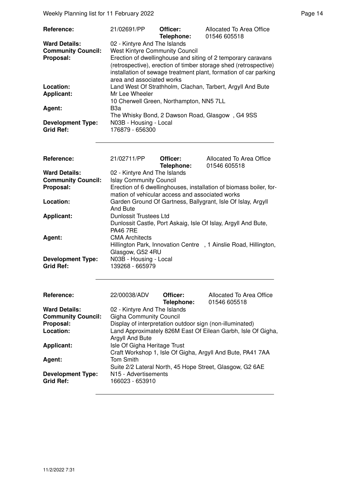Weekly Planning list for 11 February 2022 **Page 14** Page 14

| Reference:                                   | 21/02691/PP                               | Officer:<br>Telephone: | Allocated To Area Office<br>01546 605518                                                                                                                                                             |
|----------------------------------------------|-------------------------------------------|------------------------|------------------------------------------------------------------------------------------------------------------------------------------------------------------------------------------------------|
| <b>Ward Details:</b>                         | 02 - Kintyre And The Islands              |                        |                                                                                                                                                                                                      |
| <b>Community Council:</b>                    | <b>West Kintyre Community Council</b>     |                        |                                                                                                                                                                                                      |
| Proposal:                                    | area and associated works                 |                        | Erection of dwellinghouse and siting of 2 temporary caravans<br>(retrospective), erection of timber storage shed (retrospective)<br>installation of sewage treatment plant, formation of car parking |
| Location:                                    |                                           |                        | Land West Of Strathholm, Clachan, Tarbert, Argyll And Bute                                                                                                                                           |
| Applicant:                                   | Mr Lee Wheeler                            |                        |                                                                                                                                                                                                      |
|                                              | 10 Cherwell Green, Northampton, NN5 7LL   |                        |                                                                                                                                                                                                      |
| Agent:                                       | B3a                                       |                        |                                                                                                                                                                                                      |
|                                              |                                           |                        | The Whisky Bond, 2 Dawson Road, Glasgow, G4 9SS                                                                                                                                                      |
| <b>Development Type:</b><br><b>Grid Ref:</b> | N03B - Housing - Local<br>176879 - 656300 |                        |                                                                                                                                                                                                      |

| Reference:                                   | 21/02711/PP                                     | Officer:<br>Telephone: | Allocated To Area Office<br>01546 605518                           |
|----------------------------------------------|-------------------------------------------------|------------------------|--------------------------------------------------------------------|
| <b>Ward Details:</b>                         | 02 - Kintyre And The Islands                    |                        |                                                                    |
| <b>Community Council:</b>                    | <b>Islay Community Council</b>                  |                        |                                                                    |
| Proposal:                                    | mation of vehicular access and associated works |                        | Erection of 6 dwellinghouses, installation of biomass boiler, for- |
| Location:                                    | And Bute                                        |                        | Garden Ground Of Gartness, Ballygrant, Isle Of Islay, Argyll       |
| <b>Applicant:</b>                            | Dunlossit Trustees Ltd<br><b>PA46 7RE</b>       |                        | Dunlossit Castle, Port Askaig, Isle Of Islay, Argyll And Bute,     |
| Agent:                                       | <b>CMA Architects</b><br>Glasgow, G52 4RU       |                        | Hillington Park, Innovation Centre, 1 Ainslie Road, Hillington,    |
| <b>Development Type:</b><br><b>Grid Ref:</b> | N03B - Housing - Local<br>139268 - 665979       |                        |                                                                    |

| Reference:                                   | 22/00038/ADV                                             | Officer:<br>Telephone: | Allocated To Area Office<br>01546 605518                     |
|----------------------------------------------|----------------------------------------------------------|------------------------|--------------------------------------------------------------|
| <b>Ward Details:</b>                         | 02 - Kintyre And The Islands                             |                        |                                                              |
| <b>Community Council:</b>                    | <b>Gigha Community Council</b>                           |                        |                                                              |
| Proposal:                                    | Display of interpretation outdoor sign (non-illuminated) |                        |                                                              |
| Location:                                    | Argyll And Bute                                          |                        | Land Approximately 826M East Of Eilean Garbh, Isle Of Gigha, |
| <b>Applicant:</b>                            | Isle Of Gigha Heritage Trust                             |                        | Craft Workshop 1, Isle Of Gigha, Argyll And Bute, PA41 7AA   |
| Agent:                                       | <b>Tom Smith</b>                                         |                        | Suite 2/2 Lateral North, 45 Hope Street, Glasgow, G2 6AE     |
| <b>Development Type:</b><br><b>Grid Ref:</b> | N <sub>15</sub> - Advertisements<br>166023 - 653910      |                        |                                                              |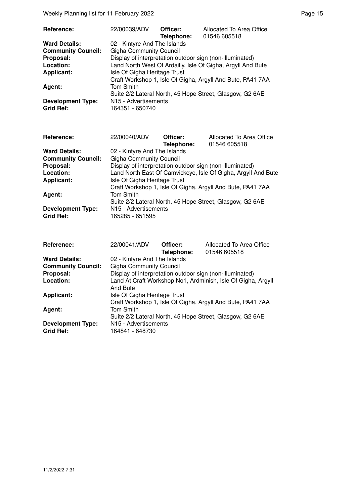Weekly Planning list for 11 February 2022 **Page 15** Neekly Planning list for 11 February 2022

| Reference:                | 22/00039/ADV                                                | Officer:   | Allocated To Area Office                                   |
|---------------------------|-------------------------------------------------------------|------------|------------------------------------------------------------|
|                           |                                                             | Telephone: | 01546 605518                                               |
| <b>Ward Details:</b>      | 02 - Kintyre And The Islands                                |            |                                                            |
| <b>Community Council:</b> | <b>Gigha Community Council</b>                              |            |                                                            |
| Proposal:                 |                                                             |            | Display of interpretation outdoor sign (non-illuminated)   |
| Location:                 | Land North West Of Ardailly, Isle Of Gigha, Argyll And Bute |            |                                                            |
| <b>Applicant:</b>         | Isle Of Gigha Heritage Trust                                |            |                                                            |
|                           |                                                             |            | Craft Workshop 1, Isle Of Gigha, Argyll And Bute, PA41 7AA |
| Agent:                    | <b>Tom Smith</b>                                            |            |                                                            |
|                           |                                                             |            | Suite 2/2 Lateral North, 45 Hope Street, Glasgow, G2 6AE   |
| <b>Development Type:</b>  | N15 - Advertisements                                        |            |                                                            |
| <b>Grid Ref:</b>          | 164351 - 650740                                             |            |                                                            |

| <b>Reference:</b><br><b>Ward Details:</b> | 22/00040/ADV<br>02 - Kintyre And The Islands                 | Officer:<br>Telephone: | Allocated To Area Office<br>01546 605518                      |  |
|-------------------------------------------|--------------------------------------------------------------|------------------------|---------------------------------------------------------------|--|
| <b>Community Council:</b>                 | <b>Gigha Community Council</b>                               |                        |                                                               |  |
| Proposal:                                 | Display of interpretation outdoor sign (non-illuminated)     |                        |                                                               |  |
| Location:                                 |                                                              |                        | Land North East Of Camvickoye, Isle Of Gigha, Argyll And Bute |  |
|                                           |                                                              |                        |                                                               |  |
| <b>Applicant:</b>                         | Isle Of Gigha Heritage Trust                                 |                        |                                                               |  |
|                                           |                                                              |                        | Craft Workshop 1, Isle Of Gigha, Argyll And Bute, PA41 7AA    |  |
| Agent:                                    | <b>Tom Smith</b>                                             |                        |                                                               |  |
|                                           |                                                              |                        | Suite 2/2 Lateral North, 45 Hope Street, Glasgow, G2 6AE      |  |
| <b>Development Type:</b>                  | N <sub>15</sub> - Advertisements                             |                        |                                                               |  |
| <b>Grid Ref:</b>                          | 165285 - 651595                                              |                        |                                                               |  |
|                                           |                                                              |                        |                                                               |  |
| Reference:                                | 22/00041/ADV                                                 | Officer:               | Allocated To Area Office                                      |  |
|                                           |                                                              | Telephone:             | 01546 605518                                                  |  |
| <b>Ward Details:</b>                      | 02 - Kintyre And The Islands                                 |                        |                                                               |  |
| <b>Community Council:</b>                 | <b>Gigha Community Council</b>                               |                        |                                                               |  |
| Proposal:                                 | Display of interpretation outdoor sign (non-illuminated)     |                        |                                                               |  |
| Location:                                 | Land At Craft Workshop No1, Ardminish, Isle Of Gigha, Argyll |                        |                                                               |  |
|                                           | And Bute                                                     |                        |                                                               |  |

Craft Workshop 1, Isle Of Gigha, Argyll And Bute, PA41 7AA

Suite 2/2 Lateral North, 45 Hope Street, Glasgow, G2 6AE

**Applicant:** Isle Of Gigha Heritage Trust

**N15 - Advertisements**<br>164841 - 648730

Agent: Tom Smith

**Development Type:**<br>Grid Ref: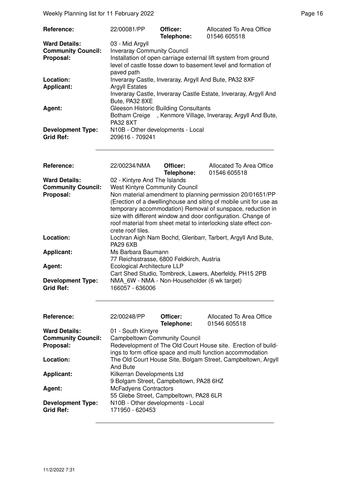Weekly Planning list for 11 February 2022 **Page 16** Network 2012 **Page 16** 

| <b>The City Thammighout Of The Column Social</b>               |                                                                                                                                                                                                                                                                                                                                                                                                           |                        |                                          |  |  |
|----------------------------------------------------------------|-----------------------------------------------------------------------------------------------------------------------------------------------------------------------------------------------------------------------------------------------------------------------------------------------------------------------------------------------------------------------------------------------------------|------------------------|------------------------------------------|--|--|
| Reference:                                                     | 22/00081/PP                                                                                                                                                                                                                                                                                                                                                                                               | Officer:<br>Telephone: | Allocated To Area Office<br>01546 605518 |  |  |
| <b>Ward Details:</b><br><b>Community Council:</b><br>Proposal: | 03 - Mid Argyll<br><b>Inveraray Community Council</b><br>Installation of open carriage external lift system from ground<br>level of castle fosse down to basement level and formation of<br>paved path                                                                                                                                                                                                    |                        |                                          |  |  |
| Location:<br><b>Applicant:</b>                                 | Inveraray Castle, Inveraray, Argyll And Bute, PA32 8XF<br><b>Argyll Estates</b><br>Inveraray Castle, Inveraray Castle Estate, Inveraray, Argyll And                                                                                                                                                                                                                                                       |                        |                                          |  |  |
| Agent:                                                         | Bute, PA32 8XE<br><b>Gleeson Historic Building Consultants</b><br>, Kenmore Village, Inveraray, Argyll And Bute,<br><b>Botham Creige</b><br><b>PA32 8XT</b>                                                                                                                                                                                                                                               |                        |                                          |  |  |
| <b>Development Type:</b><br><b>Grid Ref:</b>                   | N10B - Other developments - Local<br>209616 - 709241                                                                                                                                                                                                                                                                                                                                                      |                        |                                          |  |  |
| Reference:                                                     | 22/00234/NMA                                                                                                                                                                                                                                                                                                                                                                                              | Officer:<br>Telephone: | Allocated To Area Office<br>01546 605518 |  |  |
| <b>Ward Details:</b><br><b>Community Council:</b><br>Proposal: | 02 - Kintyre And The Islands<br><b>West Kintyre Community Council</b><br>Non material amendment to planning permission 20/01651/PP<br>(Erection of a dwellinghouse and siting of mobile unit for use as<br>temporary accommodation) Removal of sunspace, reduction in<br>size with different window and door configuration. Change of<br>roof material from sheet metal to interlocking slate effect con- |                        |                                          |  |  |
| Location:                                                      | crete roof tiles.<br>Lochran Aigh Nam Bochd, Glenbarr, Tarbert, Argyll And Bute,<br><b>PA29 6XB</b>                                                                                                                                                                                                                                                                                                       |                        |                                          |  |  |
| <b>Applicant:</b>                                              | Ms Barbara Baumann<br>77 Reichsstrasse, 6800 Feldkirch, Austria                                                                                                                                                                                                                                                                                                                                           |                        |                                          |  |  |
| Agent:<br><b>Development Type:</b><br><b>Grid Ref:</b>         | <b>Ecological Architecture LLP</b><br>Cart Shed Studio, Tombreck, Lawers, Aberfeldy, PH15 2PB<br>NMA_6W - NMA - Non-Householder (6 wk target)<br>166057 - 636006                                                                                                                                                                                                                                          |                        |                                          |  |  |
| Reference:                                                     | 22/00248/PP                                                                                                                                                                                                                                                                                                                                                                                               | Officer:               | Allocated To Area Office                 |  |  |
| <b>Ward Details:</b><br><b>Community Council:</b><br>Proposal: | Telephone:<br>01546 605518<br>01 - South Kintyre<br><b>Campbeltown Community Council</b><br>Redevelopment of The Old Court House site. Erection of build-<br>ings to form office space and multi function accommodation                                                                                                                                                                                   |                        |                                          |  |  |
| Location:                                                      | The Old Court House Site, Bolgam Street, Campbeltown, Argyll<br><b>And Bute</b>                                                                                                                                                                                                                                                                                                                           |                        |                                          |  |  |
| <b>Applicant:</b>                                              | Kilkerran Developments Ltd<br>9 Bolgam Street, Campbeltown, PA28 6HZ                                                                                                                                                                                                                                                                                                                                      |                        |                                          |  |  |
| Agent:                                                         | <b>McFadyens Contractors</b><br>55 Glebe Street, Campbeltown, PA28 6LR                                                                                                                                                                                                                                                                                                                                    |                        |                                          |  |  |
| <b>Development Type:</b><br><b>Grid Ref:</b>                   | N10B - Other developments - Local<br>171950 - 620453                                                                                                                                                                                                                                                                                                                                                      |                        |                                          |  |  |